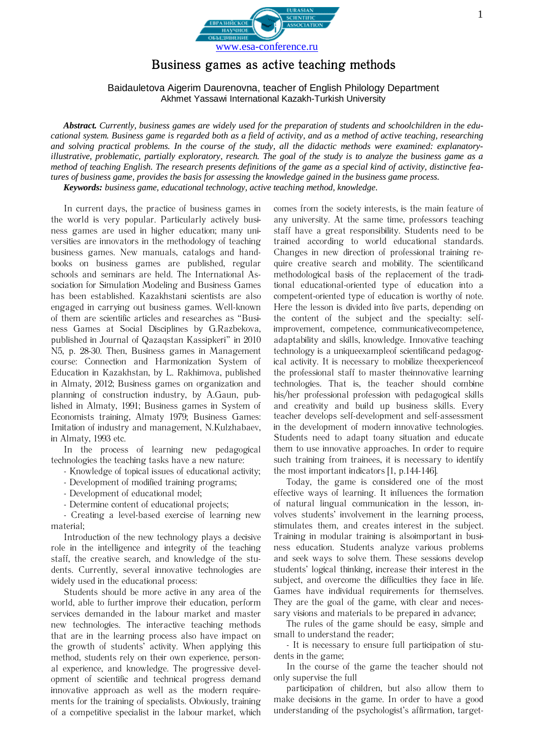

## Business games as active teaching methods

## Baidauletova Aigerim Daurenovna, teacher of English Philology Department Akhmet Yassawi International Kazakh-Turkish University

Abstract. Currently, business games are widely used for the preparation of students and schoolchildren in the educational system. Business game is regarded both as a field of activity, and as a method of active teaching, researching and solving practical problems. In the course of the study, all the didactic methods were examined: explanatoryillustrative, problematic, partially exploratory, research. The goal of the study is to analyze the business game as a method of teaching English. The research presents definitions of the game as a special kind of activity, distinctive features of business game, provides the basis for assessing the knowledge gained in the business game process. Keywords: business game, educational technology, active teaching method, knowledge.

In current days, the practice of business games in the world is very popular. Particularly actively business games are used in higher education; many universities are innovators in the methodology of teaching business games. New manuals, catalogs and handbooks on business games are published, regular schools and seminars are held. The International Association for Simulation Modeling and Business Games has been established. Kazakhstani scientists are also engaged in carrying out business games. Well-known of them are scientific articles and researches as "Business Games at Social Disciplines by G.Razbekova, published in Journal of Qazaqstan Kassipkeri" in 2010 N5, p. 28-30. Then, Business games in Management course: Connection and Harmonization System of Education in Kazakhstan, by L. Rakhimova, published in Almaty, 2012; Business games on organization and planning of construction industry, by A.Gaun, published in Almaty, 1991; Business games in System of Economists training, Almaty 1979; Business Games: Imitation of industry and management, N.Kulzhabaev, in Almaty, 1993 etc.

In the process of learning new pedagogical technologies the teaching tasks have a new nature:

- Knowledge of topical issues of educational activity;
- Development of modified training programs;
- Development of educational model:
- Determine content of educational projects;

- Creating a level-based exercise of learning new material:

Introduction of the new technology plays a decisive role in the intelligence and integrity of the teaching staff, the creative search, and knowledge of the students. Currently, several innovative technologies are widely used in the educational process:

Students should be more active in any area of the world, able to further improve their education, perform services demanded in the labour market and master new technologies. The interactive teaching methods that are in the learning process also have impact on the growth of students' activity. When applying this method, students rely on their own experience, personal experience, and knowledge. The progressive development of scientific and technical progress demand innovative approach as well as the modern requirements for the training of specialists. Obviously, training of a competitive specialist in the labour market, which

comes from the society interests, is the main feature of any university. At the same time, professors teaching staff have a great responsibility. Students need to be trained according to world educational standards. Changes in new direction of professional training require creative search and mobility. The scientificand methodological basis of the replacement of the traditional educational-oriented type of education into a competent-oriented type of education is worthy of note. Here the lesson is divided into five parts, depending on the content of the subject and the specialty: selfimprovement, competence, communicativecompetence, adaptability and skills, knowledge. Innovative teaching technology is a unique example of scientificand pedagogical activity. It is necessary to mobilize the experience of the professional staff to master theinnovative learning technologies. That is, the teacher should combine his/her professional profession with pedagogical skills and creativity and build up business skills. Every teacher develops self-development and self-assessment in the development of modern innovative technologies. Students need to adapt toany situation and educate them to use innovative approaches. In order to require such training from trainees, it is necessary to identify the most important indicators [1, p.144-146].

Today, the game is considered one of the most effective ways of learning. It influences the formation of natural lingual communication in the lesson, involves students' involvement in the learning process, stimulates them, and creates interest in the subject. Training in modular training is alsoimportant in business education. Students analyze various problems and seek ways to solve them. These sessions develop students' logical thinking, increase their interest in the subject, and overcome the difficulties they face in life. Games have individual requirements for themselves. They are the goal of the game, with clear and necessary visions and materials to be prepared in advance;

The rules of the game should be easy, simple and small to understand the reader;

- It is necessary to ensure full participation of students in the game;

In the course of the game the teacher should not only supervise the full

participation of children, but also allow them to make decisions in the game. In order to have a good understanding of the psychologist's affirmation, target-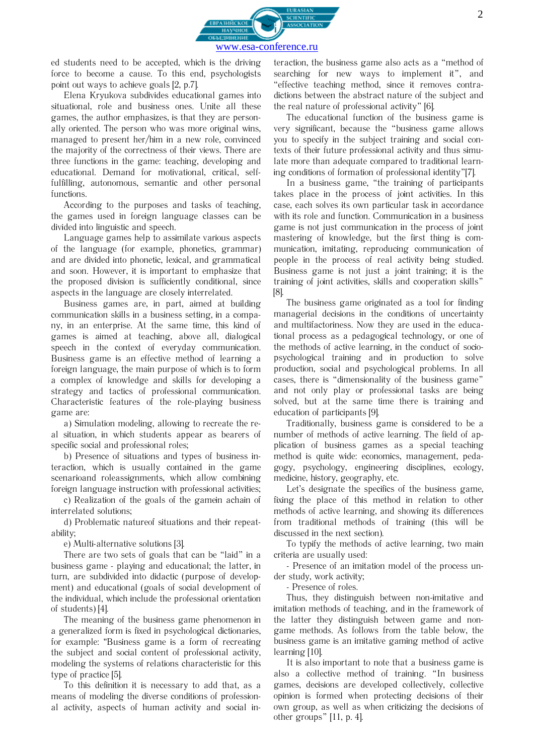

ed students need to be accepted, which is the driving force to become a cause. To this end, psychologists point out ways to achieve goals [2, p.7].

Elena Kryukova subdivides educational games into situational, role and business ones. Unite all these games, the author emphasizes, is that they are personally oriented. The person who was more original wins, managed to present her/him in a new role, convinced the majority of the correctness of their views. There are three functions in the game: teaching, developing and educational. Demand for motivational, critical, selffulfilling, autonomous, semantic and other personal functions.

According to the purposes and tasks of teaching, the games used in foreign language classes can be divided into linguistic and speech.

Language games help to assimilate various aspects of the language (for example, phonetics, grammar) and are divided into phonetic, lexical, and grammatical and soon. However, it is important to emphasize that the proposed division is sufficiently conditional, since aspects in the language are closely interrelated.

Business games are, in part, aimed at building communication skills in a business setting, in a company, in an enterprise. At the same time, this kind of games is aimed at teaching, above all, dialogical speech in the context of everyday communication. Business game is an effective method of learning a foreign language, the main purpose of which is to form a complex of knowledge and skills for developing a strategy and tactics of professional communication. Characteristic features of the role-playing business game are:

a) Simulation modeling, allowing to recreate the real situation, in which students appear as bearers of specific social and professional roles;

b) Presence of situations and types of business interaction, which is usually contained in the game scenarioand roleassignments, which allow combining foreign language instruction with professional activities;

c) Realization of the goals of the gamein achain of interrelated solutions:

d) Problematic nature of situations and their repeatability:

e) Multi-alternative solutions [3].

There are two sets of goals that can be "laid" in a business game - playing and educational; the latter, in turn, are subdivided into didactic (purpose of development) and educational (goals of social development of the individual, which include the professional orientation of students) [4].

The meaning of the business game phenomenon in a generalized form is fixed in psychological dictionaries, for example: "Business game is a form of recreating the subject and social content of professional activity, modeling the systems of relations characteristic for this type of practice [5].

To this definition it is necessary to add that, as a means of modeling the diverse conditions of professional activity, aspects of human activity and social interaction, the business game also acts as a "method of searching for new ways to implement it", and "effective teaching method, since it removes contradictions between the abstract nature of the subject and the real nature of professional activity" [6].

The educational function of the business game is very significant, because the "business game allows you to specify in the subject training and social contexts of their future professional activity and thus simulate more than adequate compared to traditional learning conditions of formation of professional identity"[7].

In a business game, "the training of participants takes place in the process of joint activities. In this case, each solves its own particular task in accordance with its role and function. Communication in a business game is not just communication in the process of joint mastering of knowledge, but the first thing is communication, imitating, reproducing communication of people in the process of real activity being studied. Business game is not just a joint training; it is the training of joint activities, skills and cooperation skills"  $[8]$ 

The business game originated as a tool for finding managerial decisions in the conditions of uncertainty and multifactoriness. Now they are used in the educational process as a pedagogical technology, or one of the methods of active learning, in the conduct of sociopsychological training and in production to solve production, social and psychological problems. In all cases, there is "dimensionality of the business game" and not only play or professional tasks are being solved, but at the same time there is training and education of participants [9].

Traditionally, business game is considered to be a number of methods of active learning. The field of application of business games as a special teaching method is quite wide: economics, management, pedagogy, psychology, engineering disciplines, ecology, medicine, history, geography, etc.

Let's designate the specifics of the business game, fixing the place of this method in relation to other methods of active learning, and showing its differences from traditional methods of training (this will be discussed in the next section).

To typify the methods of active learning, two main criteria are usually used:

- Presence of an imitation model of the process under study, work activity:

- Presence of roles.

Thus, they distinguish between non-imitative and imitation methods of teaching, and in the framework of the latter they distinguish between game and nongame methods. As follows from the table below, the business game is an imitative gaming method of active learning [10].

It is also important to note that a business game is also a collective method of training. "In business games, decisions are developed collectively, collective opinion is formed when protecting decisions of their own group, as well as when criticizing the decisions of other groups"  $[11, p. 4]$ .